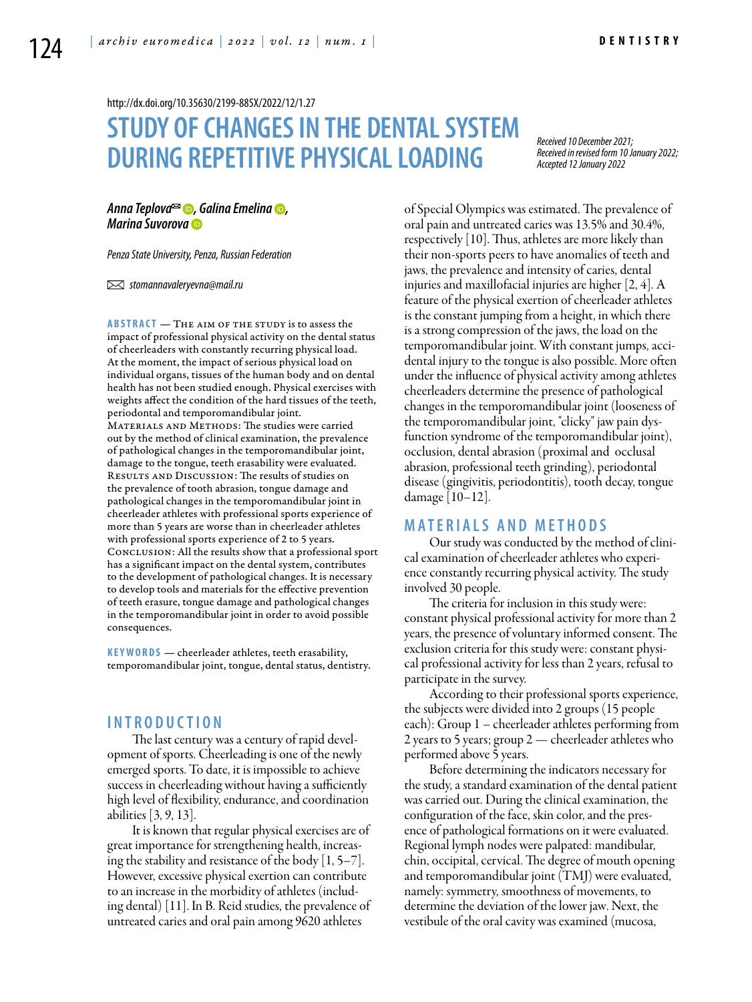<http://dx.doi.org/10.35630/2199-885X/2022/12/1.27>

# **STUDY OF CHANGESIN THE DENTALSYSTEM DURING REPETITIVE PHYSICAL LOADING**

*Received 10 December 2021; Received in revised form 10 January 2022; Accepted 12 January 2022*

*[Anna Teplova](https://orcid.org/0000-0002-5785-5515) , [Galina Emelina](https://orcid.org/0000-0002-6085-5591) , [Marina Suvorova](https://orcid.org/0000-0001-6315-9973)*

*Penza State University, Penza, Russian Federation* 

 *stomannavaleryevna@mail.ru* 

**ABSTRACT** — THE AIM OF THE STUDY is to assess the impact of professional physical activity on the dental status of cheerleaders with constantly recurring physical load. At the moment, the impact of serious physical load on individual organs, tissues of the human body and on dental health has not been studied enough. Physical exercises with weights affect the condition of the hard tissues of the teeth, periodontal and temporomandibular joint. MATERIALS AND METHODS: The studies were carried out by the method of clinical examination, the prevalence of pathological changes in the temporomandibular joint, damage to the tongue, teeth erasability were evaluated. Results and Discussion: The results of studies on the prevalence of tooth abrasion, tongue damage and pathological changes in the temporomandibular joint in cheerleader athletes with professional sports experience of more than 5 years are worse than in cheerleader athletes with professional sports experience of 2 to 5 years. Conclusion: All the results show that a professional sport has a significant impact on the dental system, contributes to the development of pathological changes. It is necessary to develop tools and materials for the effective prevention of teeth erasure, tongue damage and pathological changes in the temporomandibular joint in order to avoid possible consequences.

KEYWORDS - cheerleader athletes, teeth erasability, temporomandibular joint, tongue, dental status, dentistry.

### **I n t r o d u ct i o n**

The last century was a century of rapid development of sports. Cheerleading is one of the newly emerged sports. To date, it is impossible to achieve success in cheerleading without having a sufficiently high level of flexibility, endurance, and coordination abilities [3, 9, 13].

It is known that regular physical exercises are of great importance for strengthening health, increasing the stability and resistance of the body  $[1, 5-7]$ . However, excessive physical exertion can contribute to an increase in the morbidity of athletes (including dental) [11]. In B. Reid studies, the prevalence of untreated caries and oral pain among 9620 athletes

of Special Olympics was estimated. The prevalence of oral pain and untreated caries was 13.5% and 30.4%, respectively [10]. Thus, athletes are more likely than their non-sports peers to have anomalies of teeth and jaws, the prevalence and intensity of caries, dental injuries and maxillofacial injuries are higher [2, 4]. A feature of the physical exertion of cheerleader athletes is the constant jumping from a height, in which there is a strong compression of the jaws, the load on the temporomandibular joint. With constant jumps, accidental injury to the tongue is also possible. More often under the influence of physical activity among athletes cheerleaders determine the presence of pathological changes in the temporomandibular joint (looseness of the temporomandibular joint, "clicky" jaw pain dysfunction syndrome of the temporomandibular joint), occlusion, dental abrasion (proximal and occlusal abrasion, professional teeth grinding), periodontal disease (gingivitis, periodontitis), tooth decay, tongue damage [10–12].

## **MATERIALS AND METHODS**

Our study was conducted by the method of clinical examination of cheerleader athletes who experience constantly recurring physical activity. The study involved 30 people.

The criteria for inclusion in this study were: constant physical professional activity for more than 2 years, the presence of voluntary informed consent. The exclusion criteria for this study were: constant physical professional activity for less than 2 years, refusal to participate in the survey.

According to their professional sports experience, the subjects were divided into 2 groups (15 people each): Group 1 – cheerleader athletes performing from 2 years to 5 years; group 2 — cheerleader athletes who performed above 5 years.

Before determining the indicators necessary for the study, a standard examination of the dental patient was carried out. During the clinical examination, the configuration of the face, skin color, and the presence of pathological formations on it were evaluated. Regional lymph nodes were palpated: mandibular, chin, occipital, cervical. The degree of mouth opening and temporomandibular joint (TMJ) were evaluated, namely: symmetry, smoothness of movements, to determine the deviation of the lower jaw. Next, the vestibule of the oral cavity was examined (mucosa,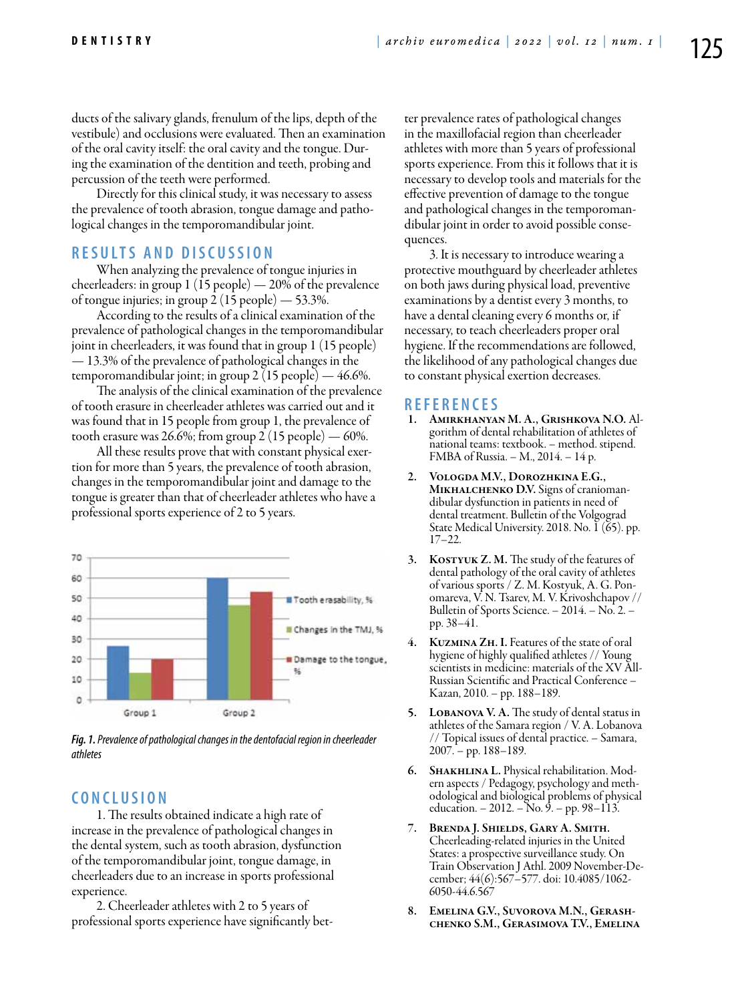ducts of the salivary glands, frenulum of the lips, depth of the vestibule) and occlusions were evaluated. Then an examination of the oral cavity itself: the oral cavity and the tongue. During the examination of the dentition and teeth, probing and percussion of the teeth were performed.

Directly for this clinical study, it was necessary to assess the prevalence of tooth abrasion, tongue damage and pathological changes in the temporomandibular joint.

# **R e s u l t s a n d D i sc u s s i o n**

When analyzing the prevalence of tongue injuries in cheerleaders: in group 1 (15 people) — 20% of the prevalence of tongue injuries; in group  $2(15 \text{ people}) - 53.3\%$ .

According to the results of a clinical examination of the prevalence of pathological changes in the temporomandibular joint in cheerleaders, it was found that in group 1 (15 people) — 13.3% of the prevalence of pathological changes in the temporomandibular joint; in group 2 (15 people) — 46.6%.

The analysis of the clinical examination of the prevalence of tooth erasure in cheerleader athletes was carried out and it was found that in 15 people from group 1, the prevalence of tooth erasure was 26.6%; from group 2 (15 people) — 60%.

All these results prove that with constant physical exertion for more than 5 years, the prevalence of tooth abrasion, changes in the temporomandibular joint and damage to the tongue is greater than that of cheerleader athletes who have a professional sports experience of 2 to 5 years.



*Fig. 1. Prevalence of pathological changes in the dentofacial region in cheerleader athletes*

## **C o n cl u s i o n**

1. The results obtained indicate a high rate of increase in the prevalence of pathological changes in the dental system, such as tooth abrasion, dysfunction of the temporomandibular joint, tongue damage, in cheerleaders due to an increase in sports professional experience.

2. Cheerleader athletes with 2 to 5 years of professional sports experience have significantly better prevalence rates of pathological changes in the maxillofacial region than cheerleader athletes with more than 5 years of professional sports experience. From this it follows that it is necessary to develop tools and materials for the effective prevention of damage to the tongue and pathological changes in the temporomandibular joint in order to avoid possible consequences.

3. It is necessary to introduce wearing a protective mouthguard by cheerleader athletes on both jaws during physical load, preventive examinations by a dentist every 3 months, to have a dental cleaning every 6 months or, if necessary, to teach cheerleaders proper oral hygiene. If the recommendations are followed, the likelihood of any pathological changes due to constant physical exertion decreases.

# **R e f e r e n ce s**

- 1. Amirkhanyan M. A., Grishkova N.O. Algorithm of dental rehabilitation of athletes of national teams: textbook. – method. stipend. FMBA of Russia. – M., 2014. – 14 p.
- 2. Vologda M.V., Dorozhkina E.G., MIKHALCHENKO D.V. Signs of craniomandibular dysfunction in patients in need of dental treatment. Bulletin of the Volgograd State Medical University. 2018. No.  $\tilde{1}$  (65). pp. 17–22.
- KOSTYUK Z. M. The study of the features of dental pathology of the oral cavity of athletes<br>of various sports / Z. M. Kostyuk, A. G. Ponomareva, V. N. Tsarev, M. V. Krivoshchapov // Bulletin of Sports Science. – 2014. – No. 2. – pp. 38–41.
- 4. Kuzmina Zh. I. Features of the state of oral hygiene of highly qualified athletes // Young scientists in medicine: materials of the XV All-Russian Scientific and Practical Conference – Kazan, 2010. – pp. 188–189.
- 5. LOBANOVA V. A. The study of dental status in athletes of the Samara region / V. A. Lobanova // Topical issues of dental practice. – Samara, 2007. – pp. 188–189.
- 6. Shakhlina L. Physical rehabilitation. Modern aspects / Pedagogy, psychology and methodological and biological problems of physical education. – 2012. – No. 9. – pp. 98–113.
- 7. Brenda J. Shields, Gary A. Smith. Cheerleading-related injuries in the United States: a prospective surveillance study. On Train Observation J Athl. 2009 November-December; 44(6):567–577. doi: 10.4085/1062- 6050-44.6.567
- 8. Emelina G.V., Suvorova M.N., Gerash- chenko S.M., Gerasimova T.V., Emelina